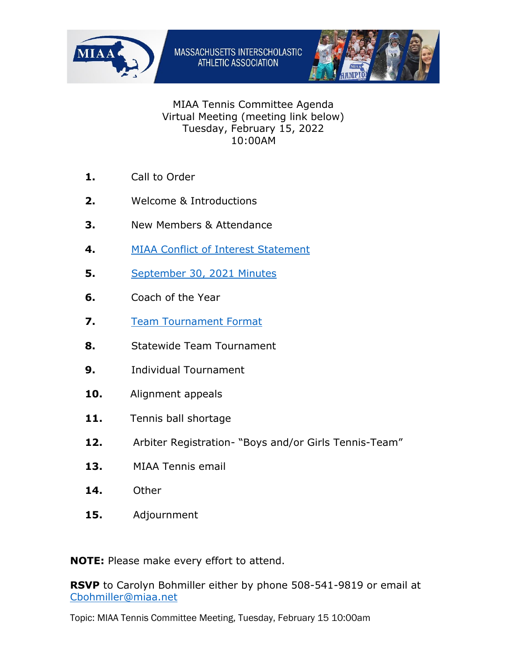



## MIAA Tennis Committee Agenda Virtual Meeting (meeting link below) Tuesday, February 15, 2022 10:00AM

- **1.** Call to Order
- **2.** Welcome & Introductions
- **3.** New Members & Attendance
- **4.** [MIAA Conflict of Interest Statement](https://miaa.net/miaa-conflict-of-interest-statement/)
- **5.** [September 30,](https://miaa.net/9-30-21-meeting-minutes/) 2021 Minutes
- **6.** Coach of the Year
- **7.** [Team Tournament Format](https://miaa.net/team-tennis-format-2022-draft/)
- **8.** Statewide Team Tournament
- **9.** Individual Tournament
- **10.** Alignment appeals
- 11. Tennis ball shortage
- **12.** Arbiter Registration- "Boys and/or Girls Tennis-Team"
- **13.** MIAA Tennis email
- **14.** Other
- **15.** Adjournment

**NOTE:** Please make every effort to attend.

**RSVP** to Carolyn Bohmiller either by phone 508-541-9819 or email at [Cbohmiller@miaa.net](mailto:Cbohmiller@miaa.net)

Topic: MIAA Tennis Committee Meeting, Tuesday, February 15 10:00am